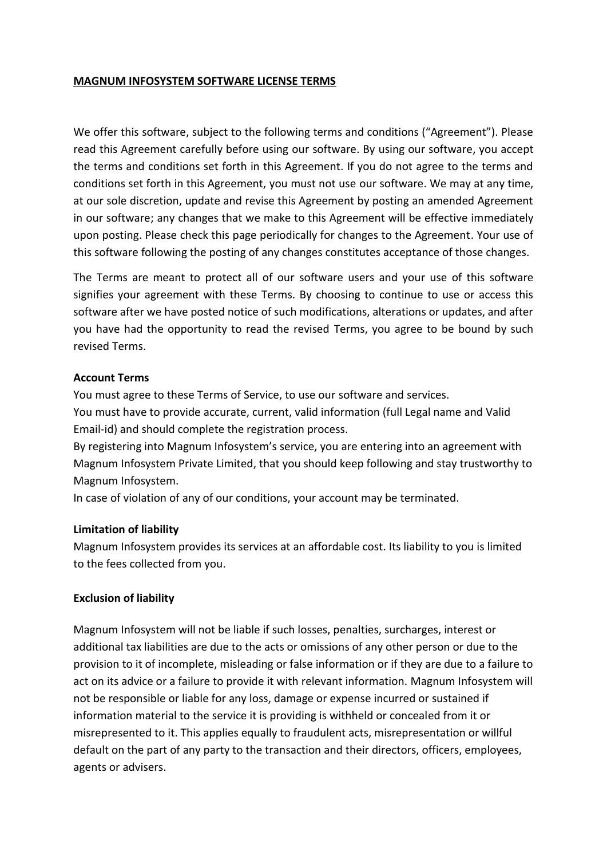### **MAGNUM INFOSYSTEM SOFTWARE LICENSE TERMS**

We offer this software, subject to the following terms and conditions ("Agreement"). Please read this Agreement carefully before using our software. By using our software, you accept the terms and conditions set forth in this Agreement. If you do not agree to the terms and conditions set forth in this Agreement, you must not use our software. We may at any time, at our sole discretion, update and revise this Agreement by posting an amended Agreement in our software; any changes that we make to this Agreement will be effective immediately upon posting. Please check this page periodically for changes to the Agreement. Your use of this software following the posting of any changes constitutes acceptance of those changes.

The Terms are meant to protect all of our software users and your use of this software signifies your agreement with these Terms. By choosing to continue to use or access this software after we have posted notice of such modifications, alterations or updates, and after you have had the opportunity to read the revised Terms, you agree to be bound by such revised Terms.

### **Account Terms**

You must agree to these Terms of Service, to use our software and services. You must have to provide accurate, current, valid information (full Legal name and Valid Email-id) and should complete the registration process.

By registering into Magnum Infosystem's service, you are entering into an agreement with Magnum Infosystem Private Limited, that you should keep following and stay trustworthy to Magnum Infosystem.

In case of violation of any of our conditions, your account may be terminated.

### **Limitation of liability**

Magnum Infosystem provides its services at an affordable cost. Its liability to you is limited to the fees collected from you.

### **Exclusion of liability**

Magnum Infosystem will not be liable if such losses, penalties, surcharges, interest or additional tax liabilities are due to the acts or omissions of any other person or due to the provision to it of incomplete, misleading or false information or if they are due to a failure to act on its advice or a failure to provide it with relevant information. Magnum Infosystem will not be responsible or liable for any loss, damage or expense incurred or sustained if information material to the service it is providing is withheld or concealed from it or misrepresented to it. This applies equally to fraudulent acts, misrepresentation or willful default on the part of any party to the transaction and their directors, officers, employees, agents or advisers.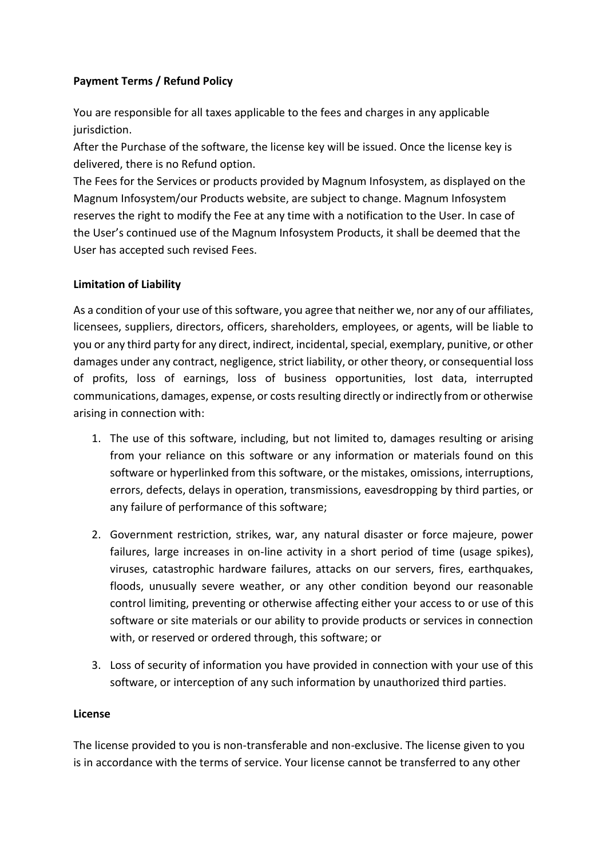# **Payment Terms / Refund Policy**

You are responsible for all taxes applicable to the fees and charges in any applicable jurisdiction.

After the Purchase of the software, the license key will be issued. Once the license key is delivered, there is no Refund option.

The Fees for the Services or products provided by Magnum Infosystem, as displayed on the Magnum Infosystem/our Products website, are subject to change. Magnum Infosystem reserves the right to modify the Fee at any time with a notification to the User. In case of the User's continued use of the Magnum Infosystem Products, it shall be deemed that the User has accepted such revised Fees.

### **Limitation of Liability**

As a condition of your use of this software, you agree that neither we, nor any of our affiliates, licensees, suppliers, directors, officers, shareholders, employees, or agents, will be liable to you or any third party for any direct, indirect, incidental, special, exemplary, punitive, or other damages under any contract, negligence, strict liability, or other theory, or consequential loss of profits, loss of earnings, loss of business opportunities, lost data, interrupted communications, damages, expense, or costs resulting directly or indirectly from or otherwise arising in connection with:

- 1. The use of this software, including, but not limited to, damages resulting or arising from your reliance on this software or any information or materials found on this software or hyperlinked from this software, or the mistakes, omissions, interruptions, errors, defects, delays in operation, transmissions, eavesdropping by third parties, or any failure of performance of this software;
- 2. Government restriction, strikes, war, any natural disaster or force majeure, power failures, large increases in on-line activity in a short period of time (usage spikes), viruses, catastrophic hardware failures, attacks on our servers, fires, earthquakes, floods, unusually severe weather, or any other condition beyond our reasonable control limiting, preventing or otherwise affecting either your access to or use of this software or site materials or our ability to provide products or services in connection with, or reserved or ordered through, this software; or
- 3. Loss of security of information you have provided in connection with your use of this software, or interception of any such information by unauthorized third parties.

### **License**

The license provided to you is non-transferable and non-exclusive. The license given to you is in accordance with the terms of service. Your license cannot be transferred to any other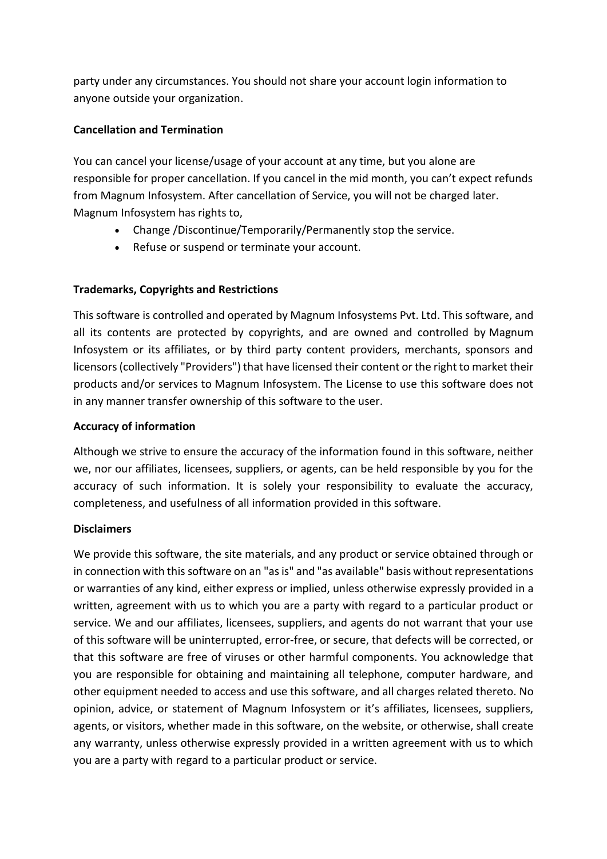party under any circumstances. You should not share your account login information to anyone outside your organization.

### **Cancellation and Termination**

You can cancel your license/usage of your account at any time, but you alone are responsible for proper cancellation. If you cancel in the mid month, you can't expect refunds from Magnum Infosystem. After cancellation of Service, you will not be charged later. Magnum Infosystem has rights to,

- Change /Discontinue/Temporarily/Permanently stop the service.
- Refuse or suspend or terminate your account.

# **Trademarks, Copyrights and Restrictions**

This software is controlled and operated by Magnum Infosystems Pvt. Ltd. This software, and all its contents are protected by copyrights, and are owned and controlled by Magnum Infosystem or its affiliates, or by third party content providers, merchants, sponsors and licensors (collectively "Providers") that have licensed their content or the right to market their products and/or services to Magnum Infosystem. The License to use this software does not in any manner transfer ownership of this software to the user.

# **Accuracy of information**

Although we strive to ensure the accuracy of the information found in this software, neither we, nor our affiliates, licensees, suppliers, or agents, can be held responsible by you for the accuracy of such information. It is solely your responsibility to evaluate the accuracy, completeness, and usefulness of all information provided in this software.

# **Disclaimers**

We provide this software, the site materials, and any product or service obtained through or in connection with this software on an "as is" and "as available" basis without representations or warranties of any kind, either express or implied, unless otherwise expressly provided in a written, agreement with us to which you are a party with regard to a particular product or service. We and our affiliates, licensees, suppliers, and agents do not warrant that your use of this software will be uninterrupted, error-free, or secure, that defects will be corrected, or that this software are free of viruses or other harmful components. You acknowledge that you are responsible for obtaining and maintaining all telephone, computer hardware, and other equipment needed to access and use this software, and all charges related thereto. No opinion, advice, or statement of Magnum Infosystem or it's affiliates, licensees, suppliers, agents, or visitors, whether made in this software, on the website, or otherwise, shall create any warranty, unless otherwise expressly provided in a written agreement with us to which you are a party with regard to a particular product or service.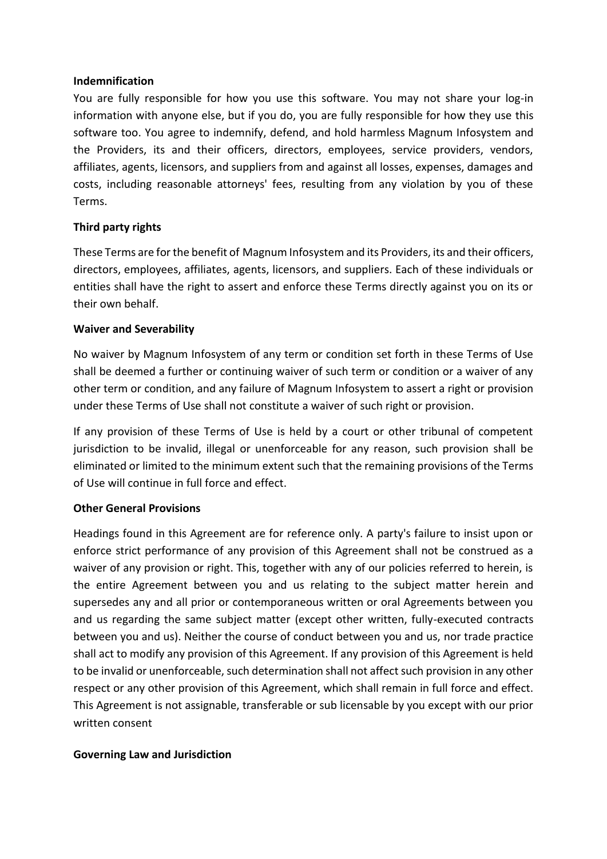### **Indemnification**

You are fully responsible for how you use this software. You may not share your log-in information with anyone else, but if you do, you are fully responsible for how they use this software too. You agree to indemnify, defend, and hold harmless Magnum Infosystem and the Providers, its and their officers, directors, employees, service providers, vendors, affiliates, agents, licensors, and suppliers from and against all losses, expenses, damages and costs, including reasonable attorneys' fees, resulting from any violation by you of these Terms.

### **Third party rights**

These Terms are for the benefit of Magnum Infosystem and its Providers, its and their officers, directors, employees, affiliates, agents, licensors, and suppliers. Each of these individuals or entities shall have the right to assert and enforce these Terms directly against you on its or their own behalf.

### **Waiver and Severability**

No waiver by Magnum Infosystem of any term or condition set forth in these Terms of Use shall be deemed a further or continuing waiver of such term or condition or a waiver of any other term or condition, and any failure of Magnum Infosystem to assert a right or provision under these Terms of Use shall not constitute a waiver of such right or provision.

If any provision of these Terms of Use is held by a court or other tribunal of competent jurisdiction to be invalid, illegal or unenforceable for any reason, such provision shall be eliminated or limited to the minimum extent such that the remaining provisions of the Terms of Use will continue in full force and effect.

### **Other General Provisions**

Headings found in this Agreement are for reference only. A party's failure to insist upon or enforce strict performance of any provision of this Agreement shall not be construed as a waiver of any provision or right. This, together with any of our policies referred to herein, is the entire Agreement between you and us relating to the subject matter herein and supersedes any and all prior or contemporaneous written or oral Agreements between you and us regarding the same subject matter (except other written, fully-executed contracts between you and us). Neither the course of conduct between you and us, nor trade practice shall act to modify any provision of this Agreement. If any provision of this Agreement is held to be invalid or unenforceable, such determination shall not affect such provision in any other respect or any other provision of this Agreement, which shall remain in full force and effect. This Agreement is not assignable, transferable or sub licensable by you except with our prior written consent

### **Governing Law and Jurisdiction**